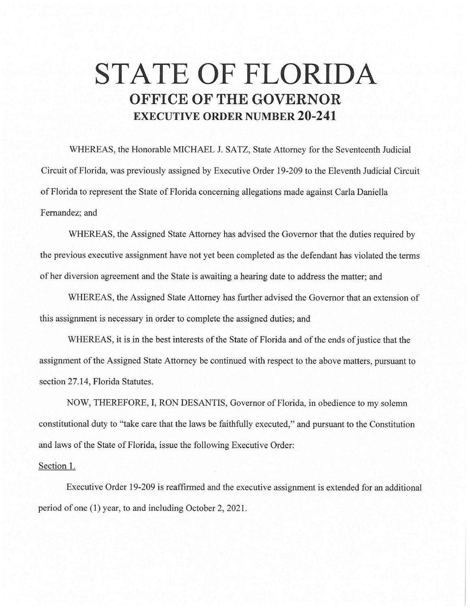## **STATE OF FLORIDA OFFICE OF THE GOVERNOR EXECUTIVE ORDER NUMBER 20-241**

WHEREAS, the Honorable MICHAEL J. SATZ, State Attorney for the Seventeenth Judicial Circuit of Florida, was previously assigned by Executive Order 19-209 to the Eleventh Judicial Circuit of Florida to represent the State of Florida concerning allegations made against Carla Daniella Fernandez; and

WHEREAS, the Assigned State Attorney has advised the Governor that the duties required by the previous executive assignment have not yet been completed as the defendant has violated the terms of her diversion agreement and the State is awaiting a hearing date to address the matter; and

WHEREAS, the Assigned State Attorney has further advised the Governor that an extension of this assignment is necessary in order to complete the assigned duties; and

WHEREAS, it is in the best interests of the State of Florida and of the ends of justice that the assignment of the Assigned State Attorney be continued with respect to the above matters, pursuant to section 27.14, Florida Statutes.

NOW, THEREFORE, I, RON DESANTIS, Governor of Florida, in obedience to my solemn constitutional duty to "take care that the laws be faithfully executed," and pursuant to the Constitution and laws of the State of Florida, issue the following Executive Order:

## Section 1.

Executive Order 19-209 is reaffirmed and the executive assignment is extended for an additional period of one (1) year, to and including October 2, 2021.